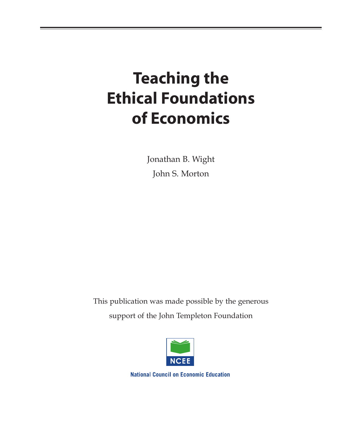# **Teaching the Ethical Foundations of Economics**

Jonathan B. Wight John S. Morton

This publication was made possible by the generous support of the John Templeton Foundation



**National Council on Economic Education**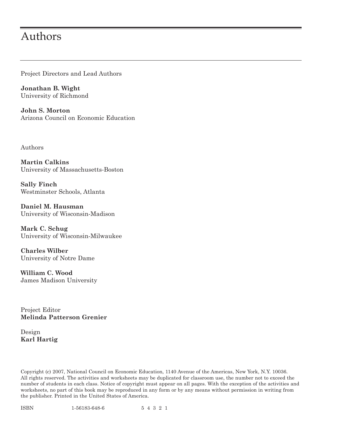### Authors

Project Directors and Lead Authors

**Jonathan B. Wight** University of Richmond

**John S. Morton** Arizona Council on Economic Education

Authors

**Martin Calkins** University of Massachusetts-Boston

**Sally Finch** Westminster Schools, Atlanta

**Daniel M. Hausman** University of Wisconsin-Madison

**Mark C. Schug** University of Wisconsin-Milwaukee

**Charles Wilber** University of Notre Dame

**William C. Wood** James Madison University

Project Editor **Melinda Patterson Grenier**

Design **Karl Hartig**

Copyright (c) 2007, National Council on Economic Education, 1140 Avenue of the Americas, New York, N.Y. 10036. All rights reserved. The activities and worksheets may be duplicated for classroom use, the number not to exceed the number of students in each class. Notice of copyright must appear on all pages. With the exception of the activities and worksheets, no part of this book may be reproduced in any form or by any means without permission in writing from the publisher. Printed in the United States of America.

ISBN 1-56183-648-6 5 4 3 2 1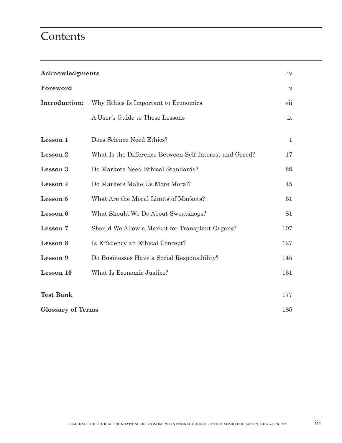### **Contents**

| Acknowledgments          |                                                         | iv           |
|--------------------------|---------------------------------------------------------|--------------|
| Foreword                 |                                                         | V            |
| Introduction:            | Why Ethics Is Important to Economics                    | vii          |
|                          | A User's Guide to These Lessons                         | ix           |
| Lesson 1                 | Does Science Need Ethics?                               | $\mathbf{1}$ |
| Lesson 2                 | What Is the Difference Between Self-Interest and Greed? | 17           |
| Lesson 3                 | Do Markets Need Ethical Standards?                      | 29           |
| Lesson 4                 | Do Markets Make Us More Moral?                          | 45           |
| Lesson 5                 | What Are the Moral Limits of Markets?                   | 61           |
| Lesson 6                 | What Should We Do About Sweatshops?                     | 81           |
| Lesson 7                 | Should We Allow a Market for Transplant Organs?         | 107          |
| Lesson 8                 | Is Efficiency an Ethical Concept?                       | 127          |
| Lesson 9                 | Do Businesses Have a Social Responsibility?             | 145          |
| Lesson 10                | What Is Economic Justice?                               | 161          |
| <b>Test Bank</b>         |                                                         | 177          |
| <b>Glossary of Terms</b> |                                                         | 185          |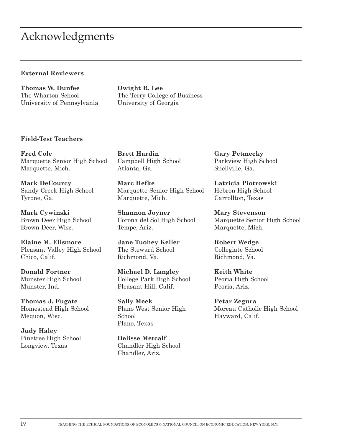# Acknowledgments

#### **External Reviewers**

**Thomas W. Dunfee** The Wharton School University of Pennsylvania **Dwight R. Lee** The Terry College of Business University of Georgia

#### **Field-Test Teachers**

**Fred Cole** Marquette Senior High School Marquette, Mich.

**Mark DeCourcy** Sandy Creek High School Tyrone, Ga.

**Mark Cywinski** Brown Deer High School Brown Deer, Wisc.

**Elaine M. Ellsmore** Pleasant Valley High School Chico, Calif.

**Donald Fortner** Munster High School Munster, Ind.

**Thomas J. Fugate** Homestead High School Mequon, Wisc.

**Judy Haley** Pinetree High School Longview, Texas

**Brett Hardin** Campbell High School Atlanta, Ga.

**Marc Hefke** Marquette Senior High School Marquette, Mich.

**Shannon Joyner** Corona del Sol High School Tempe, Ariz.

**Jane Tuohey Keller** The Steward School Richmond, Va.

**Michael D. Langley** College Park High School Pleasant Hill, Calif.

**Sally Meek** Plano West Senior High School Plano, Texas

**Delisse Metcalf** Chandler High School Chandler, Ariz.

**Gary Petmecky** Parkview High School Snellville, Ga.

**Latricia Piotrowski** Hebron High School Carrollton, Texas

**Mary Stevenson** Marquette Senior High School Marquette, Mich.

**Robert Wedge** Collegiate School Richmond, Va.

**Keith White** Peoria High School Peoria, Ariz.

**Petar Zegura** Moreau Catholic High School Hayward, Calif.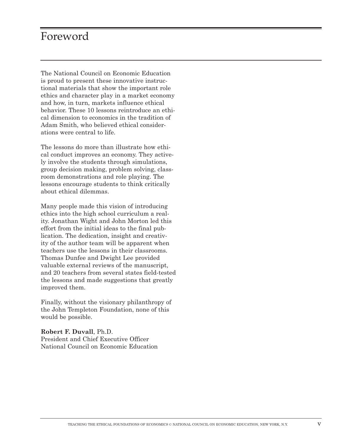### Foreword

The National Council on Economic Education is proud to present these innovative instructional materials that show the important role ethics and character play in a market economy and how, in turn, markets influence ethical behavior. These 10 lessons reintroduce an ethical dimension to economics in the tradition of Adam Smith, who believed ethical considerations were central to life.

The lessons do more than illustrate how ethical conduct improves an economy. They actively involve the students through simulations, group decision making, problem solving, classroom demonstrations and role playing. The lessons encourage students to think critically about ethical dilemmas.

Many people made this vision of introducing ethics into the high school curriculum a reality. Jonathan Wight and John Morton led this effort from the initial ideas to the final publication. The dedication, insight and creativity of the author team will be apparent when teachers use the lessons in their classrooms. Thomas Dunfee and Dwight Lee provided valuable external reviews of the manuscript, and 20 teachers from several states field-tested the lessons and made suggestions that greatly improved them.

Finally, without the visionary philanthropy of the John Templeton Foundation, none of this would be possible.

**Robert F. Duvall**, Ph.D. President and Chief Executive Officer National Council on Economic Education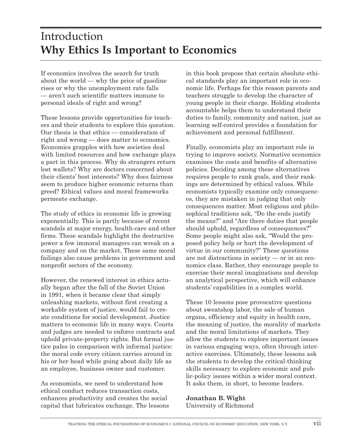# Introduction **Why Ethics Is Important to Economics**

If economics involves the search for truth about the world — why the price of gasoline rises or why the unemployment rate falls — aren't such scientific matters immune to personal ideals of right and wrong?

These lessons provide opportunities for teachers and their students to explore this question. Our thesis is that ethics — consideration of right and wrong — does matter to economics. Economics grapples with how societies deal with limited resources and how exchange plays a part in this process. Why do strangers return lost wallets? Why are doctors concerned about their clients' best interests? Why does fairness seem to produce higher economic returns than greed? Ethical values and moral frameworks permeate exchange.

The study of ethics in economic life is growing exponentially. This is partly because of recent scandals at major energy, health-care and other firms. These scandals highlight the destructive power a few immoral managers can wreak on a company and on the market. These same moral failings also cause problems in government and nonprofit sectors of the economy.

However, the renewed interest in ethics actually began after the fall of the Soviet Union in 1991, when it became clear that simply unleashing markets, without first creating a workable system of justice, would fail to create conditions for social development. Justice matters to economic life in many ways. Courts and judges are needed to enforce contracts and uphold private-property rights. But formal justice pales in comparison with informal justice: the moral code every citizen carries around in his or her head while going about daily life as an employee, business owner and customer.

As economists, we need to understand how ethical conduct reduces transaction costs, enhances productivity and creates the social capital that lubricates exchange. The lessons in this book propose that certain absolute ethical standards play an important role in economic life. Perhaps for this reason parents and teachers struggle to develop the character of young people in their charge. Holding students accountable helps them to understand their duties to family, community and nation, just as learning self-control provides a foundation for achievement and personal fulfillment.

Finally, economists play an important role in trying to improve society. Normative economics examines the costs and benefits of alternative policies. Deciding among these alternatives requires people to rank goals, and their rankings are determined by ethical values. While economists typically examine only consequences, they are mistaken in judging that only consequences matter. Most religious and philosophical traditions ask, "Do the ends justify the means?" and "Are there duties that people should uphold, regardless of consequences?" Some people might also ask, "Would the proposed policy help or hurt the development of virtue in our community?" These questions are not distractions in society — or in an economics class. Rather, they encourage people to exercise their moral imaginations and develop an analytical perspective, which will enhance students' capabilities in a complex world.

These 10 lessons pose provocative questions about sweatshop labor, the sale of human organs, efficiency and equity in health care, the meaning of justice, the morality of markets and the moral limitations of markets. They allow the students to explore important issues in various engaging ways, often through interactive exercises. Ultimately, these lessons ask the students to develop the critical-thinking skills necessary to explore economic and public-policy issues within a wider moral context. It asks them, in short, to become leaders.

**Jonathan B. Wight** University of Richmond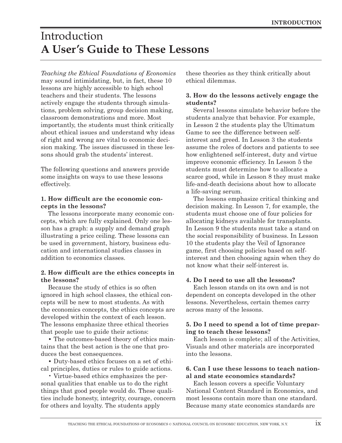## Introduction **A User's Guide to These Lessons**

*Teaching the Ethical Foundations of Economics* may sound intimidating, but, in fact, these 10 lessons are highly accessible to high school teachers and their students. The lessons actively engage the students through simulations, problem solving, group decision making, classroom demonstrations and more. Most importantly, the students must think critically about ethical issues and understand why ideas of right and wrong are vital to economic decision making. The issues discussed in these lessons should grab the students' interest.

The following questions and answers provide some insights on ways to use these lessons effectively.

#### **1. How difficult are the economic concepts in the lessons?**

 The lessons incorporate many economic concepts, which are fully explained. Only one lesson has a graph: a supply and demand graph illustrating a price ceiling. These lessons can be used in government, history, business education and international studies classes in addition to economics classes.

#### **2. How difficult are the ethics concepts in the lessons?**

 Because the study of ethics is so often ignored in high school classes, the ethical concepts will be new to most students. As with the economics concepts, the ethics concepts are developed within the context of each lesson. The lessons emphasize three ethical theories that people use to guide their actions:

**•** The outcomes-based theory of ethics maintains that the best action is the one that produces the best consequences.

**•** Duty-based ethics focuses on a set of ethical principles, duties or rules to guide actions.

 • Virtue-based ethics emphasizes the personal qualities that enable us to do the right things that good people would do. These qualities include honesty, integrity, courage, concern for others and loyalty. The students apply

these theories as they think critically about ethical dilemmas.

#### **3. How do the lessons actively engage the students?**

 Several lessons simulate behavior before the students analyze that behavior. For example, in Lesson 2 the students play the Ultimatum Game to see the difference between selfinterest and greed. In Lesson 3 the students assume the roles of doctors and patients to see how enlightened self-interest, duty and virtue improve economic efficiency. In Lesson 5 the students must determine how to allocate a scarce good, while in Lesson 8 they must make life-and-death decisions about how to allocate a life-saving serum.

 The lessons emphasize critical thinking and decision making. In Lesson 7, for example, the students must choose one of four policies for allocating kidneys available for transplants. In Lesson 9 the students must take a stand on the social responsibility of business. In Lesson 10 the students play the Veil of Ignorance game, first choosing policies based on selfinterest and then choosing again when they do not know what their self-interest is.

#### **4. Do I need to use all the lessons?**

 Each lesson stands on its own and is not dependent on concepts developed in the other lessons. Nevertheless, certain themes carry across many of the lessons.

#### **5. Do I need to spend a lot of time preparing to teach these lessons?**

 Each lesson is complete; all of the Activities, Visuals and other materials are incorporated into the lessons.

#### **6. Can I use these lessons to teach national and state economics standards?**

 Each lesson covers a specific Voluntary National Content Standard in Economics, and most lessons contain more than one standard. Because many state economics standards are